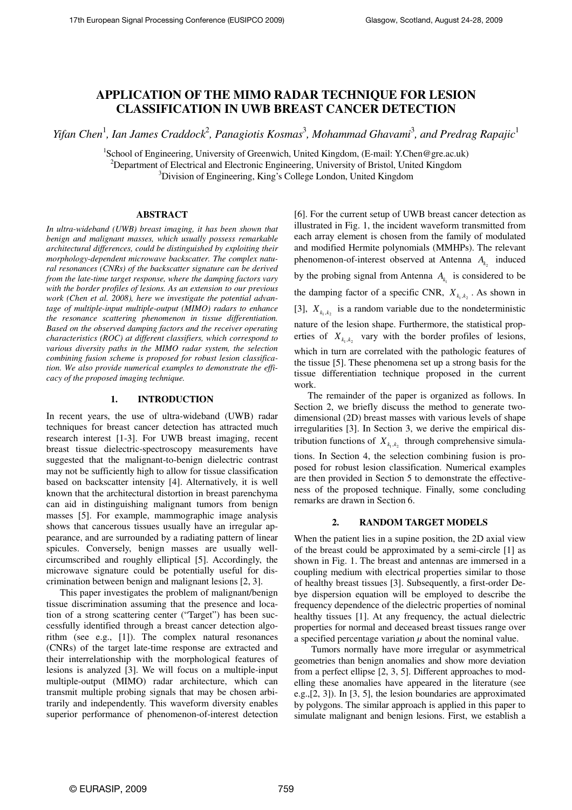# **APPLICATION OF THE MIMO RADAR TECHNIQUE FOR LESION CLASSIFICATION IN UWB BREAST CANCER DETECTION**

*Yifan Chen<sup>1</sup>, Ian James Craddock<sup>2</sup>, Panagiotis Kosmas<sup>3</sup>, Mohammad Ghavami<sup>3</sup>, and Predrag Rapajic<sup>1</sup>* 

<sup>1</sup>School of Engineering, University of Greenwich, United Kingdom, (E-mail: Y.Chen@gre.ac.uk) <sup>2</sup>Department of Electrical and Electronic Engineering, University of Bristol, United Kingdom <sup>3</sup>Division of Engineering, King's College London, United Kingdom

# **ABSTRACT**

*In ultra-wideband (UWB) breast imaging, it has been shown that benign and malignant masses, which usually possess remarkable architectural differences, could be distinguished by exploiting their morphology-dependent microwave backscatter. The complex natural resonances (CNRs) of the backscatter signature can be derived from the late-time target response, where the damping factors vary with the border profiles of lesions. As an extension to our previous work (Chen et al. 2008), here we investigate the potential advantage of multiple-input multiple-output (MIMO) radars to enhance the resonance scattering phenomenon in tissue differentiation. Based on the observed damping factors and the receiver operating characteristics (ROC) at different classifiers, which correspond to various diversity paths in the MIMO radar system, the selection combining fusion scheme is proposed for robust lesion classification. We also provide numerical examples to demonstrate the efficacy of the proposed imaging technique.* 

## **1. INTRODUCTION**

In recent years, the use of ultra-wideband (UWB) radar techniques for breast cancer detection has attracted much research interest [1-3]. For UWB breast imaging, recent breast tissue dielectric-spectroscopy measurements have suggested that the malignant-to-benign dielectric contrast may not be sufficiently high to allow for tissue classification based on backscatter intensity [4]. Alternatively, it is well known that the architectural distortion in breast parenchyma can aid in distinguishing malignant tumors from benign masses [5]. For example, mammographic image analysis shows that cancerous tissues usually have an irregular appearance, and are surrounded by a radiating pattern of linear spicules. Conversely, benign masses are usually wellcircumscribed and roughly elliptical [5]. Accordingly, the microwave signature could be potentially useful for discrimination between benign and malignant lesions [2, 3].

This paper investigates the problem of malignant/benign tissue discrimination assuming that the presence and location of a strong scattering center ("Target") has been successfully identified through a breast cancer detection algorithm (see e.g., [1]). The complex natural resonances (CNRs) of the target late-time response are extracted and their interrelationship with the morphological features of lesions is analyzed [3]. We will focus on a multiple-input multiple-output (MIMO) radar architecture, which can transmit multiple probing signals that may be chosen arbitrarily and independently. This waveform diversity enables superior performance of phenomenon-of-interest detection [6]. For the current setup of UWB breast cancer detection as illustrated in Fig. 1, the incident waveform transmitted from each array element is chosen from the family of modulated and modified Hermite polynomials (MMHPs). The relevant phenomenon-of-interest observed at Antenna  $A_{k_2}$  induced by the probing signal from Antenna  $A_{k_1}$  is considered to be the damping factor of a specific CNR,  $X_{k_1,k_2}$ . As shown in [3],  $X_{k_1,k_2}$  is a random variable due to the nondeterministic nature of the lesion shape. Furthermore, the statistical properties of  $X_{k_1,k_2}$  vary with the border profiles of lesions, which in turn are correlated with the pathologic features of the tissue [5]. These phenomena set up a strong basis for the tissue differentiation technique proposed in the current work.

The remainder of the paper is organized as follows. In Section 2, we briefly discuss the method to generate twodimensional (2D) breast masses with various levels of shape irregularities [3]. In Section 3, we derive the empirical distribution functions of  $X_{k_1,k_2}$  through comprehensive simulations. In Section 4, the selection combining fusion is proposed for robust lesion classification. Numerical examples are then provided in Section 5 to demonstrate the effectiveness of the proposed technique. Finally, some concluding remarks are drawn in Section 6.

# **2. RANDOM TARGET MODELS**

When the patient lies in a supine position, the 2D axial view of the breast could be approximated by a semi-circle [1] as shown in Fig. 1. The breast and antennas are immersed in a coupling medium with electrical properties similar to those of healthy breast tissues [3]. Subsequently, a first-order Debye dispersion equation will be employed to describe the frequency dependence of the dielectric properties of nominal healthy tissues [1]. At any frequency, the actual dielectric properties for normal and deceased breast tissues range over a specified percentage variation  $\mu$  about the nominal value.

Tumors normally have more irregular or asymmetrical geometries than benign anomalies and show more deviation from a perfect ellipse [2, 3, 5]. Different approaches to modelling these anomalies have appeared in the literature (see e.g.,[2, 3]). In [3, 5], the lesion boundaries are approximated by polygons. The similar approach is applied in this paper to simulate malignant and benign lesions. First, we establish a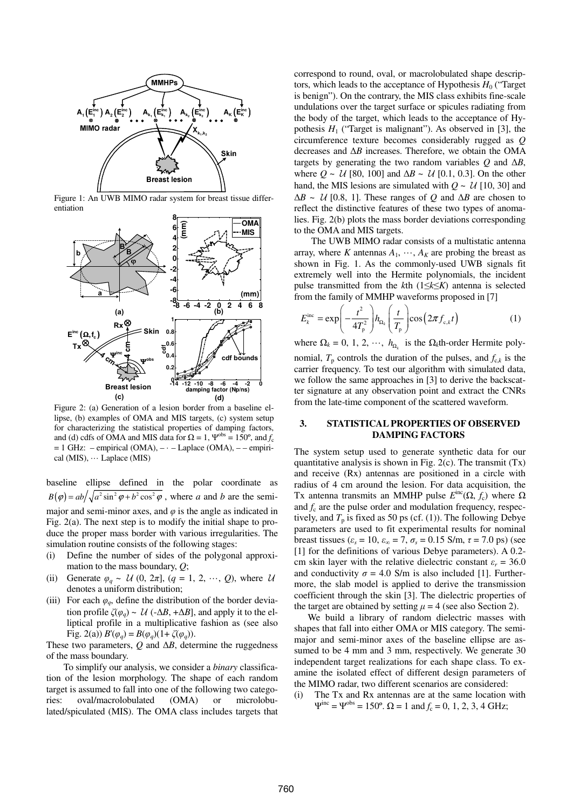

Figure 1: An UWB MIMO radar system for breast tissue differentiation



Figure 2: (a) Generation of a lesion border from a baseline ellipse, (b) examples of OMA and MIS targets, (c) system setup for characterizing the statistical properties of damping factors, and (d) cdfs of OMA and MIS data for  $\Omega = 1$ ,  $\Psi^{\text{obs}} = 150^{\circ}$ , and  $f_c$  $= 1$  GHz: – empirical (OMA), –  $\cdot$  – Laplace (OMA), – – empirical (MIS), ··· Laplace (MIS)

baseline ellipse defined in the polar coordinate as  $B(\varphi) = ab/\sqrt{a^2 \sin^2 \varphi + b^2 \cos^2 \varphi}$ , where *a* and *b* are the semimajor and semi-minor axes, and  $\varphi$  is the angle as indicated in Fig. 2(a). The next step is to modify the initial shape to produce the proper mass border with various irregularities. The simulation routine consists of the following stages:

- (i) Define the number of sides of the polygonal approximation to the mass boundary, *Q*;
- (ii) Generate  $\varphi_q \sim \mathcal{U}(0, 2\pi]$ ,  $(q = 1, 2, \dots, Q)$ , where  $\mathcal{U}$ denotes a uniform distribution;
- (iii) For each  $\varphi$ <sub>*o*</sub>, define the distribution of the border deviation profile  $\zeta(\varphi_a) \sim \mathcal{U}$  (- $\Delta B$ , + $\Delta B$ ], and apply it to the elliptical profile in a multiplicative fashion as (see also Fig. 2(a))  $B'(\varphi_a) = B(\varphi_a)(1 + \zeta(\varphi_a)).$

These two parameters, *Q* and ∆*B*, determine the ruggedness of the mass boundary.

To simplify our analysis, we consider a *binary* classification of the lesion morphology. The shape of each random target is assumed to fall into one of the following two categories: oval/macrolobulated (OMA) or microlobulated/spiculated (MIS). The OMA class includes targets that correspond to round, oval, or macrolobulated shape descriptors, which leads to the acceptance of Hypothesis  $H_0$  ("Target") is benign"). On the contrary, the MIS class exhibits fine-scale undulations over the target surface or spicules radiating from the body of the target, which leads to the acceptance of Hypothesis  $H_1$  ("Target is malignant"). As observed in [3], the circumference texture becomes considerably rugged as *Q* decreases and ∆*B* increases. Therefore, we obtain the OMA targets by generating the two random variables *Q* and ∆*B*, where *Q ~* U [80, 100] and ∆*B ~* U [0.1, 0.3]. On the other hand, the MIS lesions are simulated with  $Q \sim U$  [10, 30] and  $\Delta B \sim$  *U* [0.8, 1]. These ranges of *Q* and  $\Delta B$  are chosen to reflect the distinctive features of these two types of anomalies. Fig. 2(b) plots the mass border deviations corresponding to the OMA and MIS targets.

The UWB MIMO radar consists of a multistatic antenna array, where *K* antennas  $A_1$ ,  $\dots$ ,  $A_K$  are probing the breast as shown in Fig. 1. As the commonly-used UWB signals fit extremely well into the Hermite polynomials, the incident pulse transmitted from the *k*th (1≤*k*≤*K*) antenna is selected from the family of MMHP waveforms proposed in [7]

$$
E_k^{\text{inc}} = \exp\left(-\frac{t^2}{4T_p^2}\right) h_{\Omega_k} \left(\frac{t}{T_p}\right) \cos\left(2\pi f_{\text{c},k} t\right) \tag{1}
$$

where  $\Omega_k = 0, 1, 2, \dots, h_{\Omega_k}$  is the  $\Omega_k$ <sup>th</sup>-order Hermite polynomial,  $T_p$  controls the duration of the pulses, and  $f_{c,k}$  is the carrier frequency. To test our algorithm with simulated data, we follow the same approaches in [3] to derive the backscatter signature at any observation point and extract the CNRs from the late-time component of the scattered waveform.

## **3. STATISTICAL PROPERTIES OF OBSERVED DAMPING FACTORS**

The system setup used to generate synthetic data for our quantitative analysis is shown in Fig.  $2(c)$ . The transmit  $(Tx)$ and receive (Rx) antennas are positioned in a circle with radius of 4 cm around the lesion. For data acquisition, the Tx antenna transmits an MMHP pulse  $E^{\text{inc}}(\Omega, f_c)$  where  $\Omega$ and *f*<sup>c</sup> are the pulse order and modulation frequency, respectively, and  $T_p$  is fixed as 50 ps (cf. (1)). The following Debye parameters are used to fit experimental results for nominal breast tissues ( $\varepsilon_s = 10$ ,  $\varepsilon_{\infty} = 7$ ,  $\sigma_s = 0.15$  S/m,  $\tau = 7.0$  ps) (see [1] for the definitions of various Debye parameters). A 0.2 cm skin layer with the relative dielectric constant  $\varepsilon_r = 36.0$ and conductivity  $\sigma = 4.0$  S/m is also included [1]. Furthermore, the slab model is applied to derive the transmission coefficient through the skin [3]. The dielectric properties of the target are obtained by setting  $\mu = 4$  (see also Section 2).

We build a library of random dielectric masses with shapes that fall into either OMA or MIS category. The semimajor and semi-minor axes of the baseline ellipse are assumed to be 4 mm and 3 mm, respectively. We generate 30 independent target realizations for each shape class. To examine the isolated effect of different design parameters of the MIMO radar, two different scenarios are considered:

(i) The Tx and Rx antennas are at the same location with  $\Psi^{\text{inc}} = \Psi^{\text{obs}} = 150^{\circ}$ .  $\Omega = 1$  and  $f_c = 0, 1, 2, 3, 4$  GHz;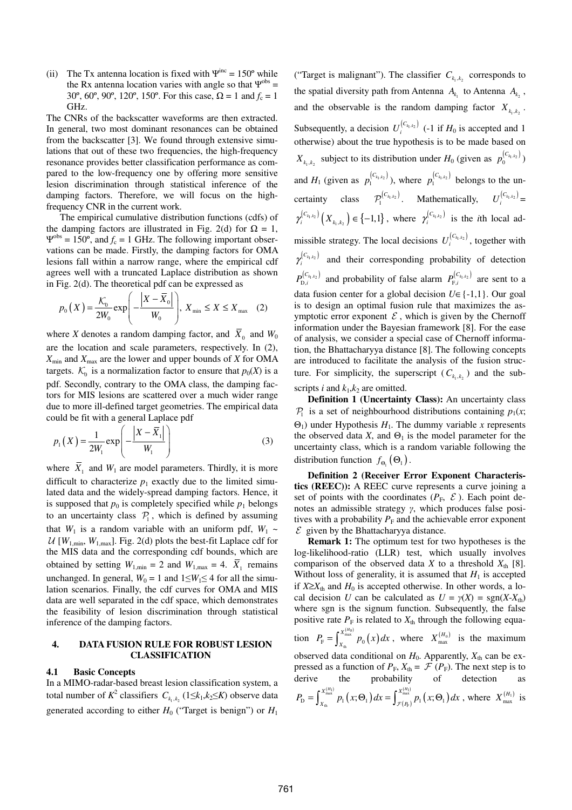(ii) The Tx antenna location is fixed with  $\Psi^{\text{inc}} = 150^{\circ}$  while the Rx antenna location varies with angle so that  $\Psi^{\text{obs}} =$ 30<sup>o</sup>, 60<sup>o</sup>, 90<sup>o</sup>, 120<sup>o</sup>, 150<sup>o</sup>. For this case,  $\Omega = 1$  and  $f_c = 1$ GHz.

The CNRs of the backscatter waveforms are then extracted. In general, two most dominant resonances can be obtained from the backscatter [3]. We found through extensive simulations that out of these two frequencies, the high-frequency resonance provides better classification performance as compared to the low-frequency one by offering more sensitive lesion discrimination through statistical inference of the damping factors. Therefore, we will focus on the highfrequency CNR in the current work.

The empirical cumulative distribution functions (cdfs) of the damping factors are illustrated in Fig. 2(d) for  $\Omega = 1$ ,  $\Psi^{\rm obs} = 150^{\circ}$ , and  $f_c = 1$  GHz. The following important observations can be made. Firstly, the damping factors for OMA lesions fall within a narrow range, where the empirical cdf agrees well with a truncated Laplace distribution as shown in Fig. 2(d). The theoretical pdf can be expressed as

$$
p_0(X) = \frac{\mathcal{K}_0}{2W_0} \exp\left(-\frac{\left|X - \overline{X}_0\right|}{W_0}\right), X_{\min} \le X \le X_{\max} \quad (2)
$$

where *X* denotes a random damping factor, and  $X_0$  and  $W_0$ are the location and scale parameters, respectively. In (2), *X*min and *X*max are the lower and upper bounds of *X* for OMA targets.  $K_0$  is a normalization factor to ensure that  $p_0(X)$  is a pdf. Secondly, contrary to the OMA class, the damping factors for MIS lesions are scattered over a much wider range due to more ill-defined target geometries. The empirical data could be fit with a general Laplace pdf

$$
p_1(X) = \frac{1}{2W_1} \exp\left(-\frac{|X - \overline{X}_1|}{W_1}\right) \tag{3}
$$

where  $X_1$  and  $W_1$  are model parameters. Thirdly, it is more difficult to characterize  $p_1$  exactly due to the limited simulated data and the widely-spread damping factors. Hence, it is supposed that  $p_0$  is completely specified while  $p_1$  belongs to an uncertainty class  $P_1$ , which is defined by assuming that  $W_1$  is a random variable with an uniform pdf,  $W_1 \sim$  $U$  [ $W_{1,\text{min}}$ ,  $W_{1,\text{max}}$ ]. Fig. 2(d) plots the best-fit Laplace cdf for the MIS data and the corresponding cdf bounds, which are obtained by setting  $W_{1,\text{min}} = 2$  and  $W_{1,\text{max}} = 4$ .  $X_1$  remains unchanged. In general,  $W_0 = 1$  and  $1 \leq W_1 \leq 4$  for all the simulation scenarios. Finally, the cdf curves for OMA and MIS data are well separated in the cdf space, which demonstrates the feasibility of lesion discrimination through statistical inference of the damping factors.

# **4. DATA FUSION RULE FOR ROBUST LESION CLASSIFICATION**

## **4.1 Basic Concepts**

In a MIMO-radar-based breast lesion classification system, a total number of  $K^2$  classifiers  $C_{k_1,k_2}$  ( $1 \leq k_1, k_2 \leq K$ ) observe data generated according to either  $H_0$  ("Target is benign") or  $H_1$ 

("Target is malignant"). The classifier  $C_{k_1,k_2}$  corresponds to the spatial diversity path from Antenna  $A_{k_1}$  to Antenna  $A_{k_2}$ , and the observable is the random damping factor  $X_{k_1,k_2}$ . Subsequently, a decision  $U_i^{(C_{k_1,k_2})}$  (-1 if  $H_0$  is accepted and 1 otherwise) about the true hypothesis is to be made based on  $X_{k_1,k_2}$  subject to its distribution under  $H_0$  (given as  $p_0^{[C_{k_1,k_2}]}$ ) and  $H_1$  (given as  $p_1^{(C_{k_1,k_2})}$ ), where  $p_1^{(C_{k_1,k_2})}$  belongs to the uncertainty class  $\mathcal{P}_1^{(C_{k_1,k_2})}$ . Mathematically,  $U_i^{(C_{k_1,k_2})}$  $\gamma_i^{(C_{k_1,k_2})} (X_{k_1,k_2}) \in \{-1,1\}$ , where  $\gamma_i^{(C_{k_1,k_2})}$  is the *i*th local admissible strategy. The local decisions  $U_i^{(C_{k_1,k_2})}$ , together with  $\gamma_i^{(C_{k_1,k_2})}$  and their corresponding probability of detection  $P_{\text{D},i}^{(C_{k_1,k_2})}$  and probability of false alarm  $P_{\text{F},i}^{(C_{k_1,k_2})}$  are sent to a data fusion center for a global decision *U*∈{-1,1}. Our goal is to design an optimal fusion rule that maximizes the asymptotic error exponent  $\mathcal E$ , which is given by the Chernoff information under the Bayesian framework [8]. For the ease of analysis, we consider a special case of Chernoff information, the Bhattacharyya distance [8]. The following concepts are introduced to facilitate the analysis of the fusion structure. For simplicity, the superscript  $(C_{k_1,k_2})$  and the subscripts *i* and  $k_1, k_2$  are omitted.

**Definition 1 (Uncertainty Class):** An uncertainty class  $P_1$  is a set of neighbourhood distributions containing  $p_1(x;$  $\Theta_1$ ) under Hypothesis  $H_1$ . The dummy variable *x* represents the observed data *X*, and  $\Theta_1$  is the model parameter for the uncertainty class, which is a random variable following the distribution function  $f_{\Theta_1}(\Theta_1)$ .

**Definition 2 (Receiver Error Exponent Characteristics (REEC)):** A REEC curve represents a curve joining a set of points with the coordinates ( $P_F$ ,  $\mathcal{E}$ ). Each point denotes an admissible strategy γ, which produces false positives with a probability  $P_F$  and the achievable error exponent  $\mathcal E$  given by the Bhattacharyya distance.

**Remark 1:** The optimum test for two hypotheses is the log-likelihood-ratio (LLR) test, which usually involves comparison of the observed data *X* to a threshold  $X_{th}$  [8]. Without loss of generality, it is assumed that  $H_1$  is accepted if  $X \geq X_{th}$  and  $H_0$  is accepted otherwise. In other words, a local decision *U* can be calculated as  $U = \gamma(X) = \text{sgn}(X - X_{\text{th}})$ where sgn is the signum function. Subsequently, the false positive rate  $P_F$  is related to  $X_{th}$  through the following equa-

tion  $P_{\rm F} = \int_{\rm v}^{X_{\rm max}^{(H_0)}} p_0(x)$  $F = J_{X_{th}}$   $P_0$  $X_{\text{ma}}^{(H)}$  $P_{\rm F} = \int_{X_{\rm th}}^{X_{\rm hux}^{(1)}} p_0(x) dx$ , where  $X_{\rm max}^{(H_0)}$  is the maximum observed data conditional on  $H_0$ . Apparently,  $X_{th}$  can be expressed as a function of  $P_F$ ,  $X_{th} = \mathcal{F}(P_F)$ . The next step is to derive the probability of detection  $\int_{\text{max}}^{(H_1)} p_1(x;\Theta_1) dx = \int_{\mathcal{F}(P_{\text{F}})}^{X_{\text{max}}^{(H_1)}} p_1(x;\Theta_1)$  $P_{\rm D} = \int_{X_{\rm th}}^{X_{\rm max}^{(H_1)}} p_1(x;\Theta_1) dx = \int_{\mathcal{F}(P_{\rm F})}^{X_{\rm max}^{(H_1)}} p_1(x;\Theta_1)$  $P_{\rm D} = \int_{X_{\rm in}}^{X_{\rm inat}^{*}} p_1(x;\Theta_1) dx = \int_{\mathcal{F}(P_{\rm F})}^{X_{\rm inat}^{*}} p_1(x;\Theta_1) dx$ , where  $X_{\rm max}^{(H_1)}$  is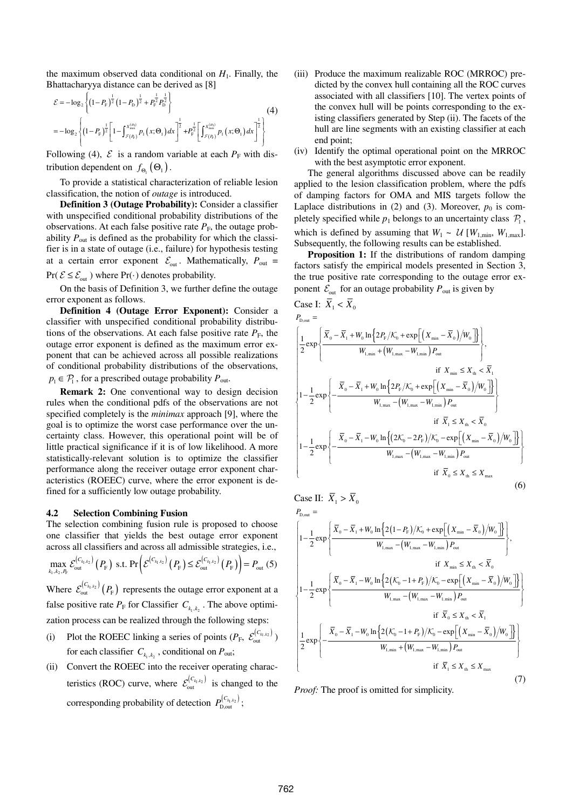the maximum observed data conditional on  $H_1$ . Finally, the Bhattacharyya distance can be derived as [8]

$$
\mathcal{E} = -\log_2\left\{ \left(1 - P_{\rm F}\right)^{\frac{1}{2}} \left(1 - P_{\rm D}\right)^{\frac{1}{2}} + P_{\rm F}^{\frac{1}{2}} P_{\rm D}^{\frac{1}{2}} \right\} - \log_2\left\{ \left(1 - P_{\rm F}\right)^{\frac{1}{2}} \left[1 - \int_{\mathcal{F}(P_{\rm F})}^{\mathcal{X}_{\rm max}^{(M)}} p_1\left(x; \Theta_1\right) dx\right]^{\frac{1}{2}} + P_{\rm F}^{\frac{1}{2}} \left[\int_{\mathcal{F}(P_{\rm F})}^{\mathcal{X}_{\rm max}^{(M)}} p_1\left(x; \Theta_1\right) dx\right]^{\frac{1}{2}} \right\} \tag{4}
$$

Following (4),  $\mathcal{E}$  is a random variable at each  $P_F$  with distribution dependent on  $f_{\Theta_1}(\Theta_1)$ .

To provide a statistical characterization of reliable lesion classification, the notion of *outage* is introduced.

**Definition 3 (Outage Probability):** Consider a classifier with unspecified conditional probability distributions of the observations. At each false positive rate  $P<sub>F</sub>$ , the outage probability *P*out is defined as the probability for which the classifier is in a state of outage (i.e., failure) for hypothesis testing at a certain error exponent  $\mathcal{E}_{\text{out}}$ . Mathematically,  $P_{\text{out}} =$  $Pr(\mathcal{E} \leq \mathcal{E}_{out})$  where  $Pr(\cdot)$  denotes probability.

On the basis of Definition 3, we further define the outage error exponent as follows.

**Definition 4 (Outage Error Exponent):** Consider a classifier with unspecified conditional probability distributions of the observations. At each false positive rate  $P_F$ , the outage error exponent is defined as the maximum error exponent that can be achieved across all possible realizations of conditional probability distributions of the observations,  $p_1 \in \mathcal{P}_1$ , for a prescribed outage probability  $P_{\text{out}}$ .

**Remark 2:** One conventional way to design decision rules when the conditional pdfs of the observations are not specified completely is the *minimax* approach [9], where the goal is to optimize the worst case performance over the uncertainty class. However, this operational point will be of little practical significance if it is of low likelihood. A more statistically-relevant solution is to optimize the classifier performance along the receiver outage error exponent characteristics (ROEEC) curve, where the error exponent is defined for a sufficiently low outage probability.

### **4.2 Selection Combining Fusion**

The selection combining fusion rule is proposed to choose one classifier that yields the best outage error exponent across all classifiers and across all admissible strategies, i.e.,

$$
\max_{k_1, k_2, P_F} \mathcal{E}_{\text{out}}^{(C_{k_1, k_2})}(P_F) \text{ s.t. } \Pr\left(\mathcal{E}^{(C_{k_1, k_2})}(P_F) \le \mathcal{E}_{\text{out}}^{(C_{k_1, k_2})}(P_F)\right) = P_{\text{out}}(5)
$$

Where  $\mathcal{E}_{\text{out}}^{(C_{k_1,k_2})}(P_{F})$  represents the outage error exponent at a false positive rate  $P_F$  for Classifier  $C_{k_1,k_2}$ . The above optimization process can be realized through the following steps:

- (i) Plot the ROEEC linking a series of points  $(P_F, \mathcal{E}_{out}^{(C_{k_1,k_2})})$ for each classifier  $C_{k_1,k_2}$ , conditional on  $P_{\text{out}}$ ;
- (ii) Convert the ROEEC into the receiver operating characteristics (ROC) curve, where  $\mathcal{E}_{\text{out}}^{(C_{k_1,k_2})}$  is changed to the corresponding probability of detection  $P_{D,\text{out}}^{(C_{k_1,k_2})}$ ;
- (iii) Produce the maximum realizable ROC (MRROC) predicted by the convex hull containing all the ROC curves associated with all classifiers [10]. The vertex points of the convex hull will be points corresponding to the existing classifiers generated by Step (ii). The facets of the hull are line segments with an existing classifier at each end point;
- (iv) Identify the optimal operational point on the MRROC with the best asymptotic error exponent.

The general algorithms discussed above can be readily applied to the lesion classification problem, where the pdfs of damping factors for OMA and MIS targets follow the Laplace distributions in (2) and (3). Moreover,  $p_0$  is completely specified while  $p_1$  belongs to an uncertainty class  $P_1$ , which is defined by assuming that  $W_1 \sim U[W_{1,\text{min}}, W_{1,\text{max}}]$ . Subsequently, the following results can be established.

**Proposition 1:** If the distributions of random damping factors satisfy the empirical models presented in Section 3, the true positive rate corresponding to the outage error exponent  $\mathcal{E}_{\text{out}}$  for an outage probability  $P_{\text{out}}$  is given by

Case I: 
$$
X_1 < X_0
$$
  
\n $P_{D,out} = \left\{ \frac{1}{2} \exp \left\{ \frac{\overline{X}_0 - \overline{X}_1 + W_0 \ln \left\{ 2P_F / \mathcal{K}_0 + \exp \left[ \left( X_{min} - \overline{X}_0 \right) / W_0 \right] \right\}}{W_{1,min} + \left( W_{1,max} - W_{1,min} \right) P_{out}} \right\},\$   
\nif  $X_{min} \le X_{th} < \overline{X}_1$   
\n $1 - \frac{1}{2} \exp \left\{ -\frac{\overline{X}_0 - \overline{X}_1 + W_0 \ln \left\{ 2P_F / \mathcal{K}_0 + \exp \left[ \left( X_{min} - \overline{X}_0 \right) / W_0 \right] \right\}}{W_{1,max} - \left( W_{1,max} - W_{1,min} \right) P_{out}} \right\}$   
\nif  $\overline{X}_1 \le X_{th} < \overline{X}_0$   
\n $1 - \frac{1}{2} \exp \left\{ -\frac{\overline{X}_0 - \overline{X}_1 - W_0 \ln \left\{ (2\mathcal{K}_0 - 2P_F) / \mathcal{K}_0 - \exp \left[ \left( X_{min} - \overline{X}_0 \right) / W_0 \right] \right\}}{W_{1,max} - \left( W_{1,max} - W_{1,min} \right) P_{out}} \right\}$   
\nif  $\overline{X}_0 \le X_{th} \le X_{max}$  (6)

Case II:  $\overline{X}_1 > \overline{X}_0$ 

$$
P_{\text{D,out}} = \left\{ 1 - \frac{1}{2} \exp \left\{ \frac{\overline{X}_{0} - \overline{X}_{1} + W_{0} \ln \left\{ 2(1 - P_{F}) / \mathcal{K}_{0} + \exp \left[ \left( X_{\min} - \overline{X}_{0} \right) / W_{0} \right] \right\}}{W_{\text{I,max}} - \left( W_{\text{I,max}} - W_{\text{I,min}} \right) P_{\text{out}}} \right\},\
$$
  
\nif  $X_{\min} \le X_{\text{th}} < \overline{X}_{0}$   
\n
$$
1 - \frac{1}{2} \exp \left\{ \frac{\overline{X}_{0} - \overline{X}_{1} - W_{0} \ln \left\{ 2(K_{0} - 1 + P_{F}) / K_{0} - \exp \left[ \left( X_{\min} - \overline{X}_{0} \right) / W_{0} \right] \right\}}{W_{\text{I,max}} - \left( W_{\text{I,max}} - W_{\text{I,min}} \right) P_{\text{out}}} \right\}
$$
  
\nif  $\overline{X}_{0} \le X_{\text{th}} < \overline{X}_{1}$   
\n
$$
\frac{1}{2} \exp \left\{ - \frac{\overline{X}_{0} - \overline{X}_{1} - W_{0} \ln \left\{ 2(K_{0} - 1 + P_{F}) / \mathcal{K}_{0} - \exp \left[ \left( X_{\min} - \overline{X}_{0} \right) / W_{0} \right] \right\}}{W_{\text{I,min}} + \left( W_{\text{I,max}} - W_{\text{I,min}} \right) P_{\text{out}}} \right\}
$$
  
\nif  $\overline{X}_{1} \le X_{\text{th}} \le X_{\text{max}}$  (7)

*Proof:* The proof is omitted for simplicity.